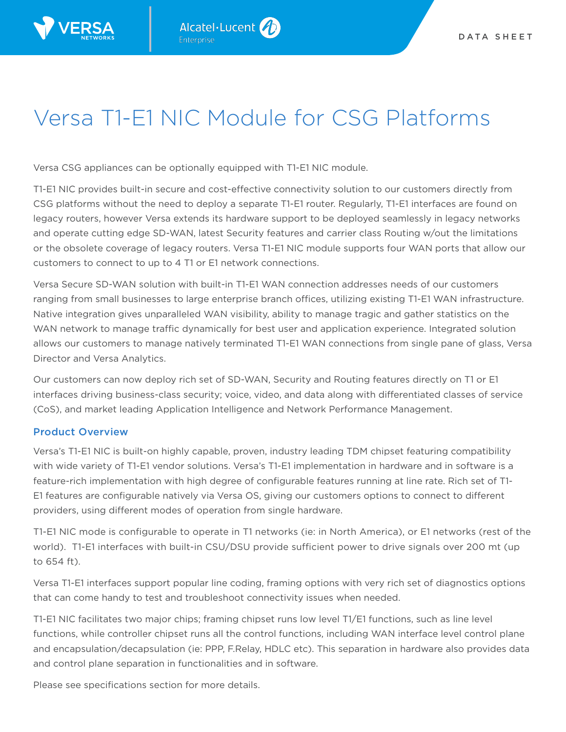

## Versa T1-E1 NIC Module for CSG Platforms

Versa CSG appliances can be optionally equipped with T1-E1 NIC module.

T1-E1 NIC provides built-in secure and cost-effective connectivity solution to our customers directly from CSG platforms without the need to deploy a separate T1-E1 router. Regularly, T1-E1 interfaces are found on legacy routers, however Versa extends its hardware support to be deployed seamlessly in legacy networks and operate cutting edge SD-WAN, latest Security features and carrier class Routing w/out the limitations or the obsolete coverage of legacy routers. Versa T1-E1 NIC module supports four WAN ports that allow our customers to connect to up to 4 T1 or E1 network connections.

Versa Secure SD-WAN solution with built-in T1-E1 WAN connection addresses needs of our customers ranging from small businesses to large enterprise branch offices, utilizing existing T1-E1 WAN infrastructure. Native integration gives unparalleled WAN visibility, ability to manage tragic and gather statistics on the WAN network to manage traffic dynamically for best user and application experience. Integrated solution allows our customers to manage natively terminated T1-E1 WAN connections from single pane of glass, Versa Director and Versa Analytics.

Our customers can now deploy rich set of SD-WAN, Security and Routing features directly on T1 or E1 interfaces driving business-class security; voice, video, and data along with differentiated classes of service (CoS), and market leading Application Intelligence and Network Performance Management.

## Product Overview

Versa's T1-E1 NIC is built-on highly capable, proven, industry leading TDM chipset featuring compatibility with wide variety of T1-E1 vendor solutions. Versa's T1-E1 implementation in hardware and in software is a feature-rich implementation with high degree of configurable features running at line rate. Rich set of T1- E1 features are configurable natively via Versa OS, giving our customers options to connect to different providers, using different modes of operation from single hardware.

T1-E1 NIC mode is configurable to operate in T1 networks (ie: in North America), or E1 networks (rest of the world). T1-E1 interfaces with built-in CSU/DSU provide sufficient power to drive signals over 200 mt (up to 654 ft).

Versa T1-E1 interfaces support popular line coding, framing options with very rich set of diagnostics options that can come handy to test and troubleshoot connectivity issues when needed.

T1-E1 NIC facilitates two major chips; framing chipset runs low level T1/E1 functions, such as line level functions, while controller chipset runs all the control functions, including WAN interface level control plane and encapsulation/decapsulation (ie: PPP, F.Relay, HDLC etc). This separation in hardware also provides data and control plane separation in functionalities and in software.

Please see specifications section for more details.